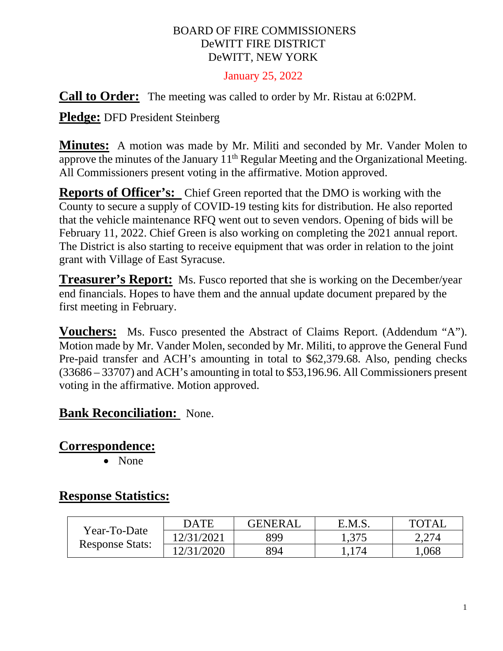### BOARD OF FIRE COMMISSIONERS DeWITT FIRE DISTRICT DeWITT, NEW YORK

#### January 25, 2022

**Call to Order:** The meeting was called to order by Mr. Ristau at 6:02PM.

**Pledge:** DFD President Steinberg

**Minutes:** A motion was made by Mr. Militi and seconded by Mr. Vander Molen to approve the minutes of the January 11<sup>th</sup> Regular Meeting and the Organizational Meeting. All Commissioners present voting in the affirmative. Motion approved.

**Reports of Officer's:** Chief Green reported that the DMO is working with the County to secure a supply of COVID-19 testing kits for distribution. He also reported that the vehicle maintenance RFQ went out to seven vendors. Opening of bids will be February 11, 2022. Chief Green is also working on completing the 2021 annual report. The District is also starting to receive equipment that was order in relation to the joint grant with Village of East Syracuse.

**Treasurer's Report:** Ms. Fusco reported that she is working on the December/year end financials. Hopes to have them and the annual update document prepared by the first meeting in February.

**Vouchers:** Ms. Fusco presented the Abstract of Claims Report. (Addendum "A"). Motion made by Mr. Vander Molen, seconded by Mr. Militi, to approve the General Fund Pre-paid transfer and ACH's amounting in total to \$62,379.68. Also, pending checks (33686 – 33707) and ACH's amounting in total to \$53,196.96. All Commissioners present voting in the affirmative. Motion approved.

### **Bank Reconciliation:** None.

## **Correspondence:**

• None

## **Response Statistics:**

| Year-To-Date<br><b>Response Stats:</b> | <b>DATE</b> | <b>GENERAL</b> | E.M.S. | <b>TOTAL</b> |
|----------------------------------------|-------------|----------------|--------|--------------|
|                                        | 12/31/2021  | 899            | 1,375  | 2,274        |
|                                        | 12/31/2020  | 894            |        | .068         |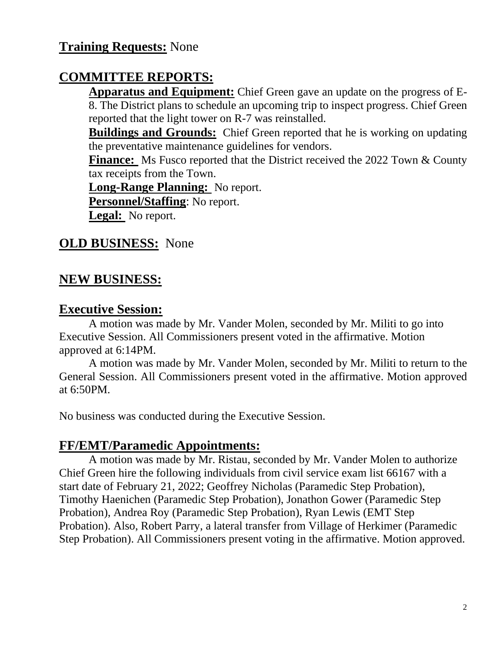# **Training Requests:** None

## **COMMITTEE REPORTS:**

**Apparatus and Equipment:** Chief Green gave an update on the progress of E-8. The District plans to schedule an upcoming trip to inspect progress. Chief Green reported that the light tower on R-7 was reinstalled.

**Buildings and Grounds:** Chief Green reported that he is working on updating the preventative maintenance guidelines for vendors.

**Finance:** Ms Fusco reported that the District received the 2022 Town & County tax receipts from the Town.

**Long-Range Planning:** No report.

**Personnel/Staffing**: No report.

**Legal:** No report.

## **OLD BUSINESS:** None

### **NEW BUSINESS:**

#### **Executive Session:**

A motion was made by Mr. Vander Molen, seconded by Mr. Militi to go into Executive Session. All Commissioners present voted in the affirmative. Motion approved at 6:14PM.

A motion was made by Mr. Vander Molen, seconded by Mr. Militi to return to the General Session. All Commissioners present voted in the affirmative. Motion approved at 6:50PM.

No business was conducted during the Executive Session.

### **FF/EMT/Paramedic Appointments:**

A motion was made by Mr. Ristau, seconded by Mr. Vander Molen to authorize Chief Green hire the following individuals from civil service exam list 66167 with a start date of February 21, 2022; Geoffrey Nicholas (Paramedic Step Probation), Timothy Haenichen (Paramedic Step Probation), Jonathon Gower (Paramedic Step Probation), Andrea Roy (Paramedic Step Probation), Ryan Lewis (EMT Step Probation). Also, Robert Parry, a lateral transfer from Village of Herkimer (Paramedic Step Probation). All Commissioners present voting in the affirmative. Motion approved.